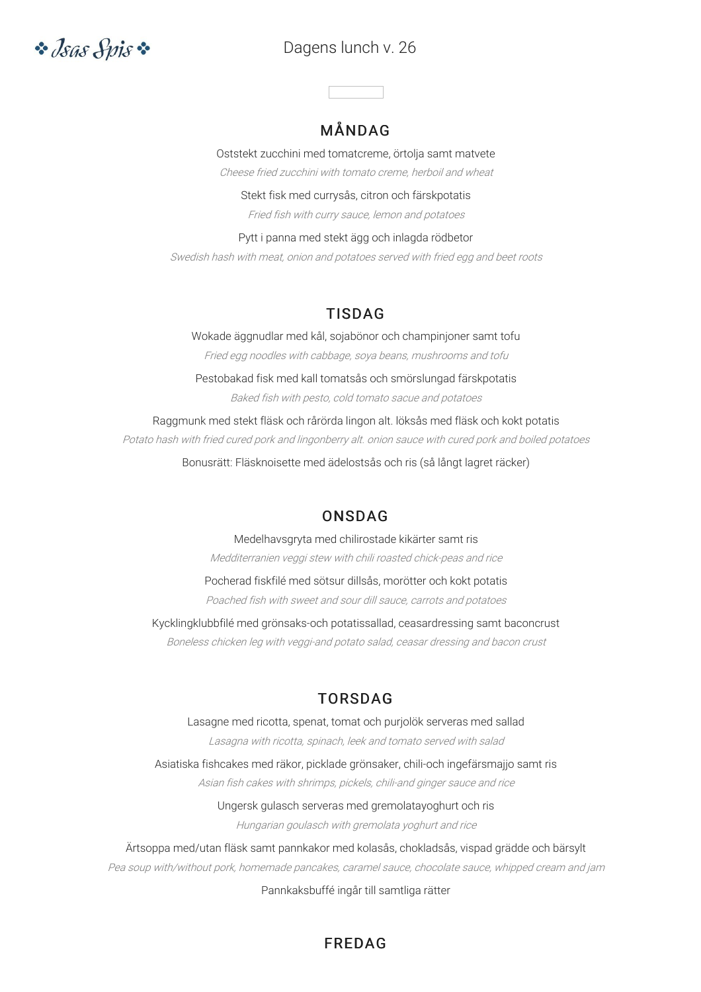# *•• Isas Spis* ••

# Dagens lunch v. 26

# MÅNDAG

Oststekt zucchini med tomatcreme, örtolja samt matvete Cheese fried zucchini with tomato creme, herboil and wheat

Stekt fisk med currysås, citron och färskpotatis Fried fish with curry sauce, lemon and potatoes

Pytt i panna med stekt ägg och inlagda rödbetor Swedish hash with meat, onion and potatoes served with fried egg and beet roots

# TISDAG

Wokade äggnudlar med kål, sojabönor och champinjoner samt tofu Fried egg noodles with cabbage, soya beans, mushrooms and tofu Pestobakad fisk med kall tomatsås och smörslungad färskpotatis

Baked fish with pesto, cold tomato sacue and potatoes

Raggmunk med stekt fläsk och rårörda lingon alt. löksås med fläsk och kokt potatis Potato hash with fried cured pork and lingonberry alt. onion sauce with cured pork and boiled potatoes

Bonusrätt: Fläsknoisette med ädelostsås och ris (så långt lagret räcker)

# ONSDAG

Medelhavsgryta med chilirostade kikärter samt ris Medditerranien veggi stew with chili roasted chick-peas and rice Pocherad fiskfilé med sötsur dillsås, morötter och kokt potatis

Poached fish with sweet and sour dill sauce, carrots and potatoes

Kycklingklubbfilé med grönsaks-och potatissallad, ceasardressing samt baconcrust Boneless chicken leg with veggi-and potato salad, ceasar dressing and bacon crust

# TORSDAG

Lasagne med ricotta, spenat, tomat och purjolök serveras med sallad Lasagna with ricotta, spinach, leek and tomato served with salad Asiatiska fishcakes med räkor, picklade grönsaker, chili-och ingefärsmajjo samt ris Asian fish cakes with shrimps, pickels, chili-and ginger sauce and rice Ungersk gulasch serveras med gremolatayoghurt och ris Hungarian goulasch with gremolata yoghurt and rice Ärtsoppa med/utan fläsk samt pannkakor med kolasås, chokladsås, vispad grädde och bärsylt

Pea soup with/without pork, homemade pancakes, caramel sauce, chocolate sauce, whipped cream and jam

#### Pannkaksbuffé ingår till samtliga rätter

### FREDAG